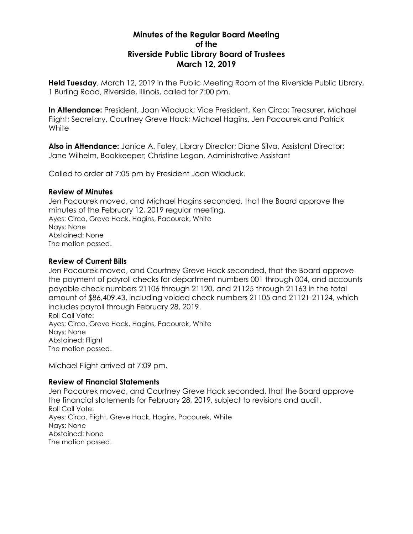# **Minutes of the Regular Board Meeting of the Riverside Public Library Board of Trustees March 12, 2019**

**Held Tuesday**, March 12, 2019 in the Public Meeting Room of the Riverside Public Library, 1 Burling Road, Riverside, Illinois, called for 7:00 pm.

**In Attendance:** President, Joan Wiaduck; Vice President, Ken Circo; Treasurer, Michael Flight; Secretary, Courtney Greve Hack; Michael Hagins, Jen Pacourek and Patrick **White** 

**Also in Attendance:** Janice A. Foley, Library Director; Diane Silva, Assistant Director; Jane Wilhelm, Bookkeeper; Christine Legan, Administrative Assistant

Called to order at 7:05 pm by President Joan Wiaduck.

#### **Review of Minutes**

Jen Pacourek moved, and Michael Hagins seconded, that the Board approve the minutes of the February 12, 2019 regular meeting. Ayes: Circo, Greve Hack, Hagins, Pacourek, White Nays: None Abstained: None The motion passed.

### **Review of Current Bills**

Jen Pacourek moved, and Courtney Greve Hack seconded, that the Board approve the payment of payroll checks for department numbers 001 through 004, and accounts payable check numbers 21106 through 21120, and 21125 through 21163 in the total amount of \$86,409.43, including voided check numbers 21105 and 21121-21124, which includes payroll through February 28, 2019. Roll Call Vote:

Ayes: Circo, Greve Hack, Hagins, Pacourek, White Nays: None Abstained: Flight The motion passed.

Michael Flight arrived at 7:09 pm.

### **Review of Financial Statements**

Jen Pacourek moved, and Courtney Greve Hack seconded, that the Board approve the financial statements for February 28, 2019, subject to revisions and audit. Roll Call Vote: Ayes: Circo, Flight, Greve Hack, Hagins, Pacourek, White Nays: None Abstained: None The motion passed.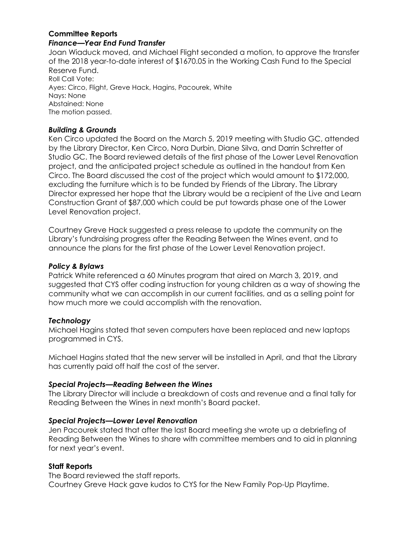#### **Committee Reports** *Finance—Year End Fund Transfer*

Joan Wiaduck moved, and Michael Flight seconded a motion, to approve the transfer of the 2018 year-to-date interest of \$1670.05 in the Working Cash Fund to the Special Reserve Fund. Roll Call Vote: Ayes: Circo, Flight, Greve Hack, Hagins, Pacourek, White Nays: None Abstained: None The motion passed.

## *Building & Grounds*

Ken Circo updated the Board on the March 5, 2019 meeting with Studio GC, attended by the Library Director, Ken Circo, Nora Durbin, Diane Silva, and Darrin Schretter of Studio GC. The Board reviewed details of the first phase of the Lower Level Renovation project, and the anticipated project schedule as outlined in the handout from Ken Circo. The Board discussed the cost of the project which would amount to \$172,000, excluding the furniture which is to be funded by Friends of the Library. The Library Director expressed her hope that the Library would be a recipient of the Live and Learn Construction Grant of \$87,000 which could be put towards phase one of the Lower Level Renovation project.

Courtney Greve Hack suggested a press release to update the community on the Library's fundraising progress after the Reading Between the Wines event, and to announce the plans for the first phase of the Lower Level Renovation project.

### *Policy & Bylaws*

Patrick White referenced a 60 Minutes program that aired on March 3, 2019, and suggested that CYS offer coding instruction for young children as a way of showing the community what we can accomplish in our current facilities, and as a selling point for how much more we could accomplish with the renovation.

## *Technology*

Michael Hagins stated that seven computers have been replaced and new laptops programmed in CYS.

Michael Hagins stated that the new server will be installed in April, and that the Library has currently paid off half the cost of the server.

### *Special Projects—Reading Between the Wines*

The Library Director will include a breakdown of costs and revenue and a final tally for Reading Between the Wines in next month's Board packet.

### *Special Projects—Lower Level Renovation*

Jen Pacourek stated that after the last Board meeting she wrote up a debriefing of Reading Between the Wines to share with committee members and to aid in planning for next year's event.

## **Staff Reports**

The Board reviewed the staff reports. Courtney Greve Hack gave kudos to CYS for the New Family Pop-Up Playtime.